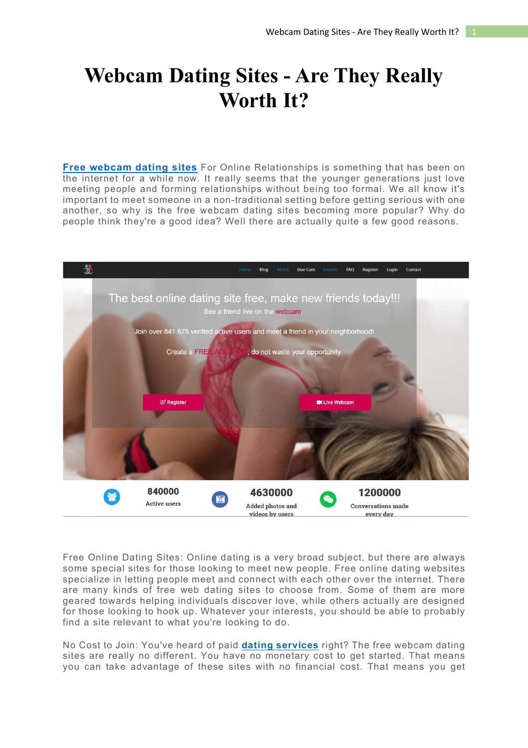## **Webcam Dating Sites - Are They Really Worth It?**

**Free webcam dating sites** For Online Relationships is something that has been on the internet for a while now. It really seems that the younger generations just love meeting people and forming relationships without being too formal. We all know it's important to meet someone in a non-traditional setting before getting serious with one another, so why is the free webcam dating sites becoming more popular? Why do people think they're a good idea? Well there are actually quite a few good reasons.



Free Online Dating Sites: Online dating is a very broad subject, but there are always some special sites for those looking to meet new people. Free online dating websites specialize in letting people meet and connect with each other over the internet. There are many kinds of free web dating sites to choose from. Some of them are more geared towards helping individuals discover love, while others actually are designed for those looking to hook up. Whatever your interests, you should be able to probably find a site relevant to what you're looking to do.

No Cost to Join: You've heard of paid **dating services** right? The free webcam dating sites are really no different. You have no monetary cost to get started. That means you can take advantage of these sites with no financial cost. That means you get